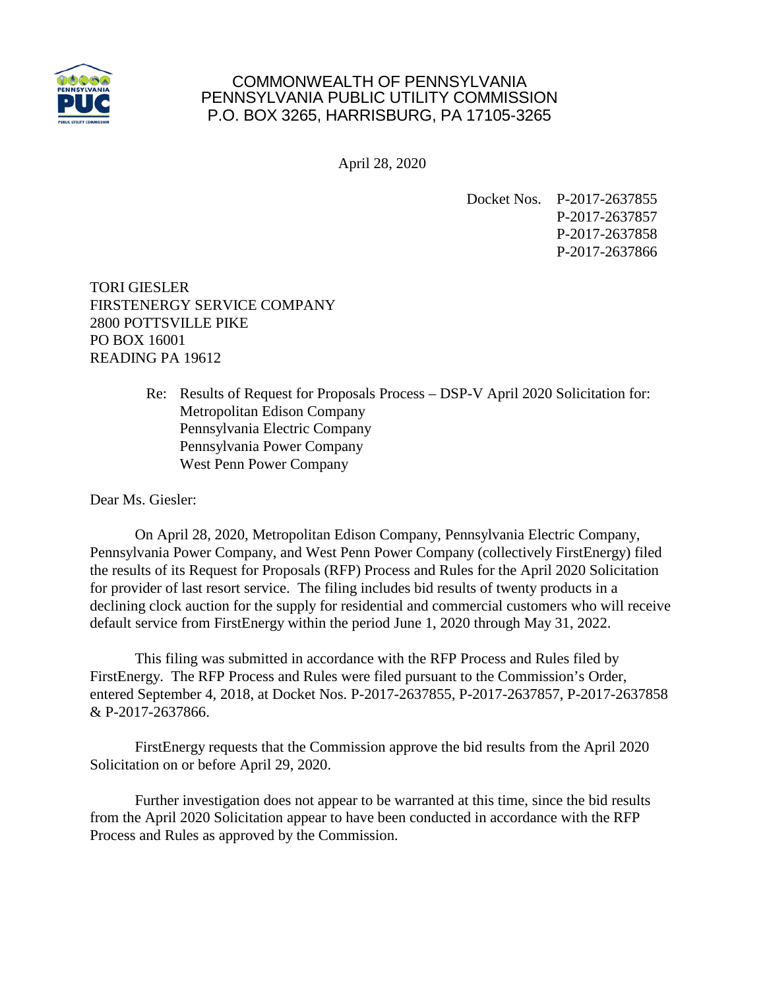

## COMMONWEALTH OF PENNSYLVANIA PENNSYLVANIA PUBLIC UTILITY COMMISSION P.O. BOX 3265, HARRISBURG, PA 17105-3265

April 28, 2020

Docket Nos. P-2017-2637855 P-2017-2637857 P-2017-2637858 P-2017-2637866

TORI GIESLER FIRSTENERGY SERVICE COMPANY 2800 POTTSVILLE PIKE PO BOX 16001 READING PA 19612

> Re: Results of Request for Proposals Process – DSP-V April 2020 Solicitation for: Metropolitan Edison Company Pennsylvania Electric Company Pennsylvania Power Company West Penn Power Company

Dear Ms. Giesler:

On April 28, 2020, Metropolitan Edison Company, Pennsylvania Electric Company, Pennsylvania Power Company, and West Penn Power Company (collectively FirstEnergy) filed the results of its Request for Proposals (RFP) Process and Rules for the April 2020 Solicitation for provider of last resort service. The filing includes bid results of twenty products in a declining clock auction for the supply for residential and commercial customers who will receive default service from FirstEnergy within the period June 1, 2020 through May 31, 2022.

This filing was submitted in accordance with the RFP Process and Rules filed by FirstEnergy. The RFP Process and Rules were filed pursuant to the Commission's Order, entered September 4, 2018, at Docket Nos. P-2017-2637855, P-2017-2637857, P-2017-2637858 & P-2017-2637866.

FirstEnergy requests that the Commission approve the bid results from the April 2020 Solicitation on or before April 29, 2020.

Further investigation does not appear to be warranted at this time, since the bid results from the April 2020 Solicitation appear to have been conducted in accordance with the RFP Process and Rules as approved by the Commission.